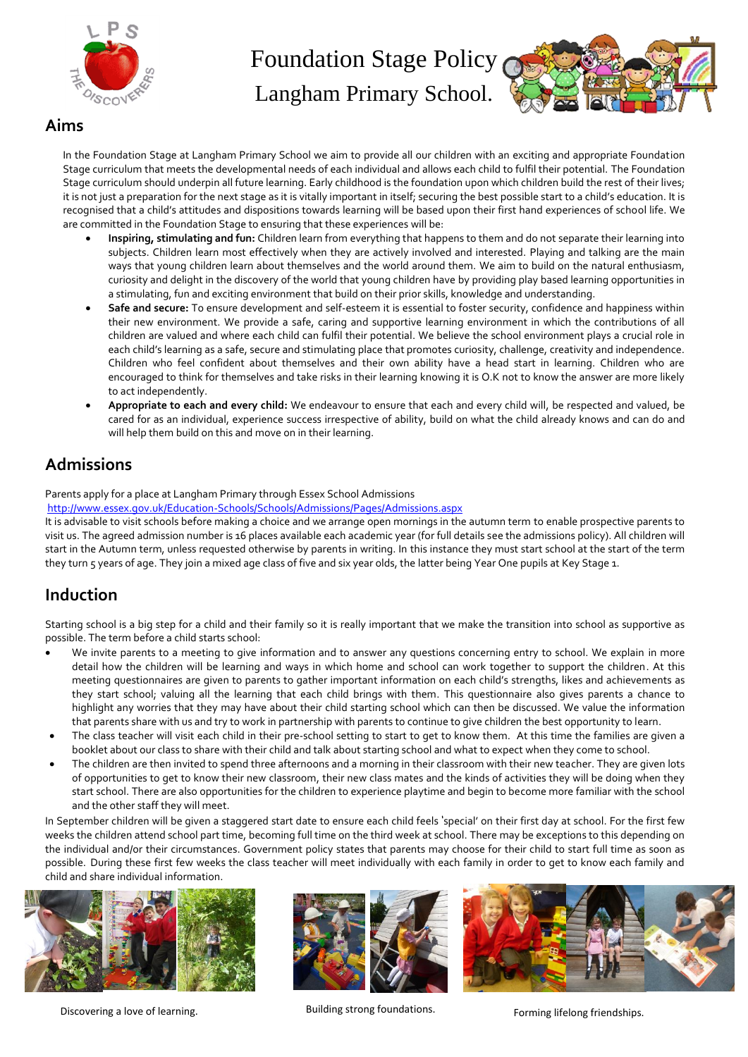

Langham Primary School.



In the Foundation Stage at Langham Primary School we aim to provide all our children with an exciting and appropriate Foundation Stage curriculum that meets the developmental needs of each individual and allows each child to fulfil their potential. The Foundation Stage curriculum should underpin all future learning. Early childhood is the foundation upon which children build the rest of their lives; it is not just a preparation for the next stage as it is vitally important in itself; securing the best possible start to a child's education. It is recognised that a child's attitudes and dispositions towards learning will be based upon their first hand experiences of school life. We are committed in the Foundation Stage to ensuring that these experiences will be:

- **Inspiring, stimulating and fun:** Children learn from everything that happens to them and do not separate their learning into subjects. Children learn most effectively when they are actively involved and interested. Playing and talking are the main ways that young children learn about themselves and the world around them. We aim to build on the natural enthusiasm, curiosity and delight in the discovery of the world that young children have by providing play based learning opportunities in a stimulating, fun and exciting environment that build on their prior skills, knowledge and understanding.
- **Safe and secure:** To ensure development and self-esteem it is essential to foster security, confidence and happiness within their new environment. We provide a safe, caring and supportive learning environment in which the contributions of all children are valued and where each child can fulfil their potential. We believe the school environment plays a crucial role in each child's learning as a safe, secure and stimulating place that promotes curiosity, challenge, creativity and independence. Children who feel confident about themselves and their own ability have a head start in learning. Children who are encouraged to think for themselves and take risks in their learning knowing it is O.K not to know the answer are more likely to act independently.
- **Appropriate to each and every child:** We endeavour to ensure that each and every child will, be respected and valued, be cared for as an individual, experience success irrespective of ability, build on what the child already knows and can do and will help them build on this and move on in their learning.

### **Admissions**

Parents apply for a place at Langham Primary through Essex School Admissions

<http://www.essex.gov.uk/Education-Schools/Schools/Admissions/Pages/Admissions.aspx>

It is advisable to visit schools before making a choice and we arrange open mornings in the autumn term to enable prospective parents to visit us. The agreed admission number is 16 places available each academic year (for full details see the admissions policy). All children will start in the Autumn term, unless requested otherwise by parents in writing. In this instance they must start school at the start of the term they turn 5 years of age. They join a mixed age class of five and six year olds, the latter being Year One pupils at Key Stage 1.

## **Induction**

Starting school is a big step for a child and their family so it is really important that we make the transition into school as supportive as possible. The term before a child starts school:

- We invite parents to a meeting to give information and to answer any questions concerning entry to school. We explain in more detail how the children will be learning and ways in which home and school can work together to support the children. At this meeting questionnaires are given to parents to gather important information on each child's strengths, likes and achievements as they start school; valuing all the learning that each child brings with them. This questionnaire also gives parents a chance to highlight any worries that they may have about their child starting school which can then be discussed. We value the information that parents share with us and try to work in partnership with parents to continue to give children the best opportunity to learn.
- The class teacher will visit each child in their pre-school setting to start to get to know them. At this time the families are given a booklet about our class to share with their child and talk about starting school and what to expect when they come to school.
- The children are then invited to spend three afternoons and a morning in their classroom with their new teacher. They are given lots of opportunities to get to know their new classroom, their new class mates and the kinds of activities they will be doing when they start school. There are also opportunities for the children to experience playtime and begin to become more familiar with the school and the other staff they will meet.

In September children will be given a staggered start date to ensure each child feels 'special' on their first day at school. For the first few weeks the children attend school part time, becoming full time on the third week at school. There may be exceptions to this depending on the individual and/or their circumstances. Government policy states that parents may choose for their child to start full time as soon as possible. During these first few weeks the class teacher will meet individually with each family in order to get to know each family and child and share individual information.



Discovering a love of learning. The strong strong foundations. The section of learning if elong friendships.



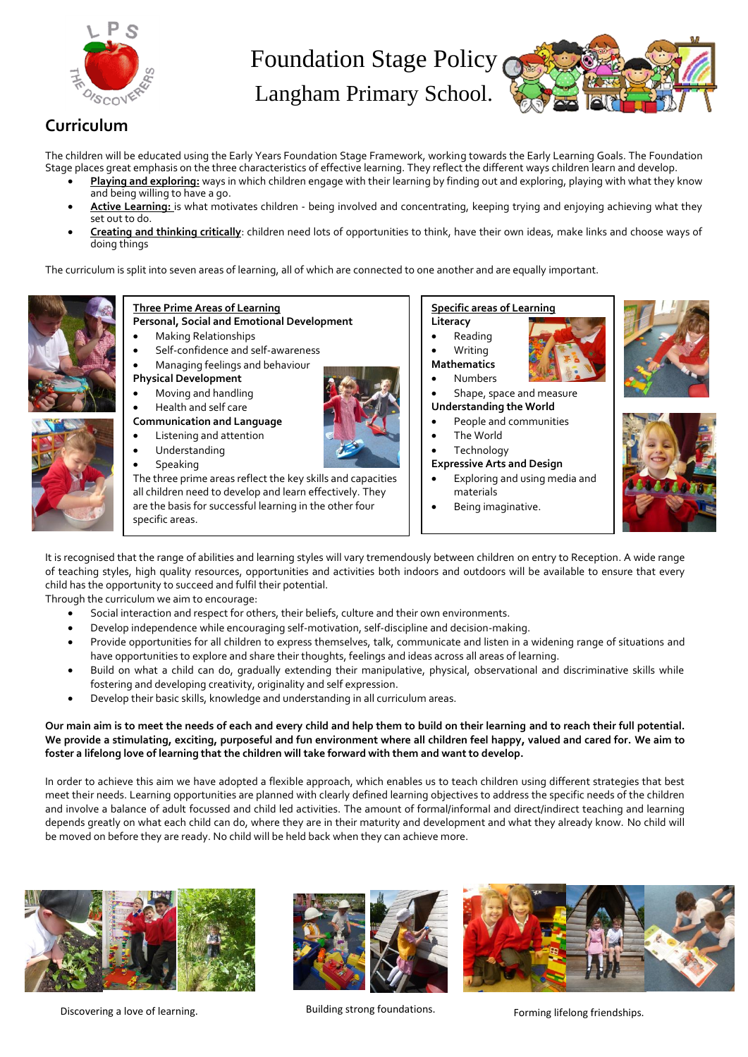

Langham Primary School.



#### **Curriculum**

The children will be educated using the Early Years Foundation Stage Framework, working towards the Early Learning Goals. The Foundation Stage places great emphasis on the three characteristics of effective learning. They reflect the different ways children learn and develop.

- **Playing and exploring:** ways in which children engage with their learning by finding out and exploring, playing with what they know and being willing to have a go.
- **Active Learning:** is what motivates children being involved and concentrating, keeping trying and enjoying achieving what they set out to do.
- **Creating and thinking critically**: children need lots of opportunities to think, have their own ideas, make links and choose ways of doing things

The curriculum is split into seven areas of learning, all of which are connected to one another and are equally important.



#### **Three Prime Areas of Learning Personal, Social and Emotional Development**

- Making Relationships
- Self-confidence and self-awareness
- Managing feelings and behaviour
- **Physical Development**
- Moving and handling
- Health and self care
- **Communication and Language**



- Listening and attention Understanding
- Speaking

The three prime areas reflect the key skills and capacities all children need to develop and learn effectively. They are the basis for successful learning in the other four specific areas.

**Specific areas of Learning**

**Understanding the World** People and communities

Being imaginative.

Exploring and using media and

 The World **Technology Expressive Arts and Design**

materials

- **Literacy** Reading Writing
- **Mathematics**
- Numbers
- Shape, space and measure







It is recognised that the range of abilities and learning styles will vary tremendously between children on entry to Reception. A wide range of teaching styles, high quality resources, opportunities and activities both indoors and outdoors will be available to ensure that every child has the opportunity to succeed and fulfil their potential.

Through the curriculum we aim to encourage:

- Social interaction and respect for others, their beliefs, culture and their own environments.
- Develop independence while encouraging self-motivation, self-discipline and decision-making.
- Provide opportunities for all children to express themselves, talk, communicate and listen in a widening range of situations and have opportunities to explore and share their thoughts, feelings and ideas across all areas of learning.
- Build on what a child can do, gradually extending their manipulative, physical, observational and discriminative skills while fostering and developing creativity, originality and self expression.
- Develop their basic skills, knowledge and understanding in all curriculum areas.

#### **Our main aim is to meet the needs of each and every child and help them to build on their learning and to reach their full potential. We provide a stimulating, exciting, purposeful and fun environment where all children feel happy, valued and cared for. We aim to foster a lifelong love of learning that the children will take forward with them and want to develop.**

In order to achieve this aim we have adopted a flexible approach, which enables us to teach children using different strategies that best meet their needs. Learning opportunities are planned with clearly defined learning objectives to address the specific needs of the children and involve a balance of adult focussed and child led activities. The amount of formal/informal and direct/indirect teaching and learning depends greatly on what each child can do, where they are in their maturity and development and what they already know. No child will be moved on before they are ready. No child will be held back when they can achieve more.



Discovering a love of learning. The strong strong foundations. The section of learning if elong friendships.



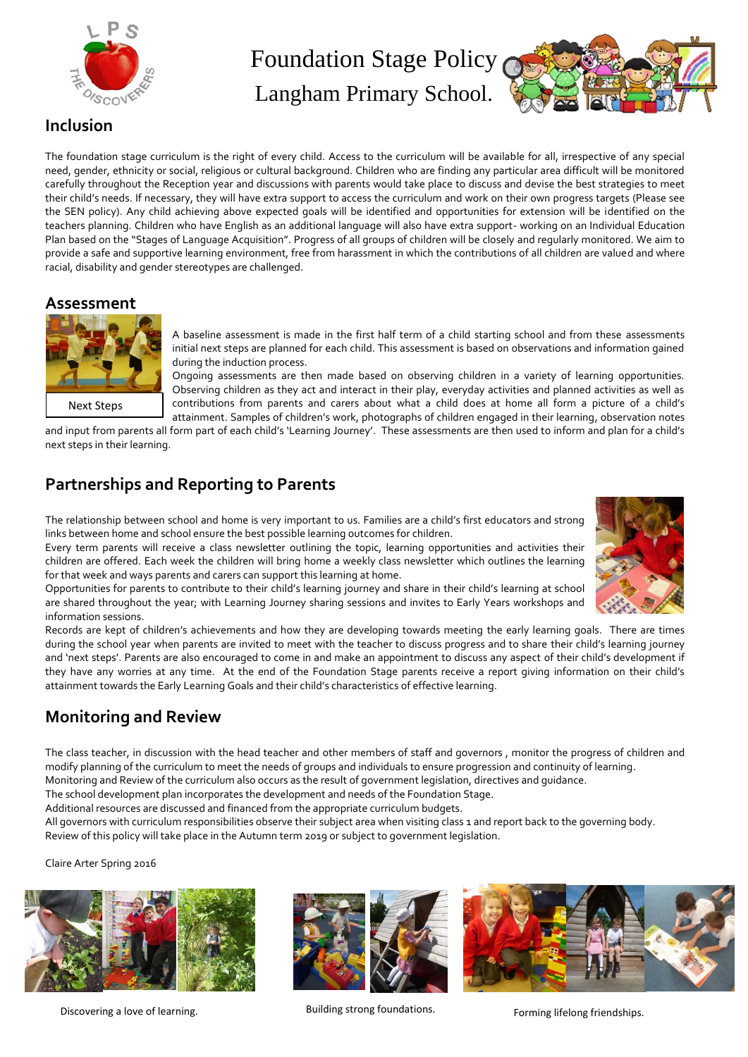

Langham Primary School.



#### **Inclusion**

The foundation stage curriculum is the right of every child. Access to the curriculum will be available for all, irrespective of any special need, gender, ethnicity or social, religious or cultural background. Children who are finding any particular area difficult will be monitored carefully throughout the Reception year and discussions with parents would take place to discuss and devise the best strategies to meet their child's needs. If necessary, they will have extra support to access the curriculum and work on their own progress targets (Please see the SEN policy). Any child achieving above expected goals will be identified and opportunities for extension will be identified on the teachers planning. Children who have English as an additional language will also have extra support- working on an Individual Education Plan based on the "Stages of Language Acquisition". Progress of all groups of children will be closely and regularly monitored. We aim to provide a safe and supportive learning environment, free from harassment in which the contributions of all children are valued and where racial, disability and gender stereotypes are challenged.

#### **Assessment**



A baseline assessment is made in the first half term of a child starting school and from these assessments initial next steps are planned for each child. This assessment is based on observations and information gained during the induction process.

Ongoing assessments are then made based on observing children in a variety of learning opportunities. Observing children as they act and interact in their play, everyday activities and planned activities as well as contributions from parents and carers about what a child does at home all form a picture of a child's attainment. Samples of children's work, photographs of children engaged in their learning, observation notes

and input from parents all form part of each child's 'Learning Journey'. These assessments are then used to inform and plan for a child's next steps in their learning.

## **Partnerships and Reporting to Parents**

The relationship between school and home is very important to us. Families are a child's first educators and strong links between home and school ensure the best possible learning outcomes for children.

Every term parents will receive a class newsletter outlining the topic, learning opportunities and activities their children are offered. Each week the children will bring home a weekly class newsletter which outlines the learning for that week and ways parents and carers can support this learning at home.

Opportunities for parents to contribute to their child's learning journey and share in their child's learning at school are shared throughout the year; with Learning Journey sharing sessions and invites to Early Years workshops and information sessions.



# **Monitoring and Review**

The class teacher, in discussion with the head teacher and other members of staff and governors , monitor the progress of children and modify planning of the curriculum to meet the needs of groups and individuals to ensure progression and continuity of learning.

Monitoring and Review of the curriculum also occurs as the result of government legislation, directives and guidance.

The school development plan incorporates the development and needs of the Foundation Stage.

Additional resources are discussed and financed from the appropriate curriculum budgets.

All governors with curriculum responsibilities observe their subject area when visiting class 1 and report back to the governing body. Review of this policy will take place in the Autumn term 2019 or subject to government legislation.

Claire Arter Spring 2016



Discovering a love of learning. The strong strong foundations. The section of learning if elong friendships.